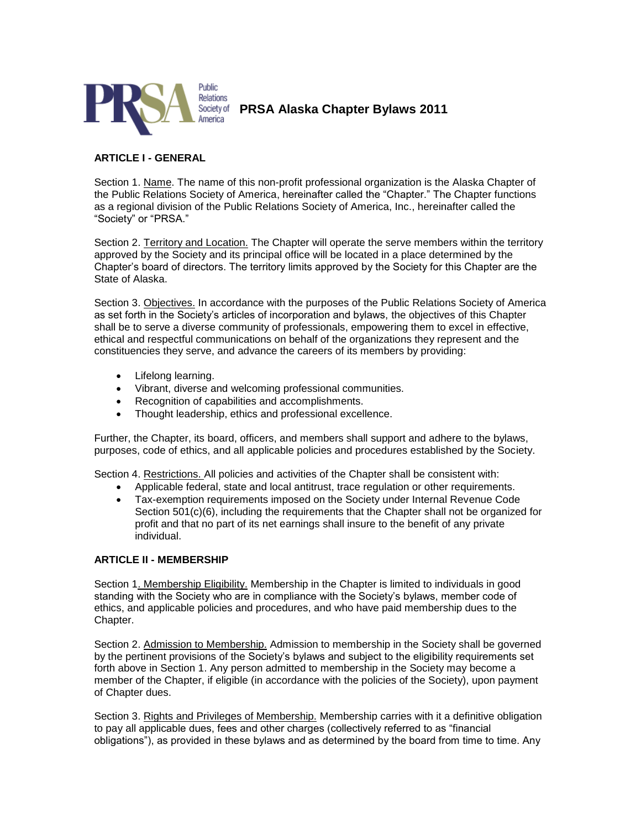

**PRSA Alaska Chapter Bylaws 2011**

## **ARTICLE I - GENERAL**

Section 1. Name. The name of this non-profit professional organization is the Alaska Chapter of the Public Relations Society of America, hereinafter called the "Chapter." The Chapter functions as a regional division of the Public Relations Society of America, Inc., hereinafter called the "Society" or "PRSA."

Section 2. Territory and Location. The Chapter will operate the serve members within the territory approved by the Society and its principal office will be located in a place determined by the Chapter's board of directors. The territory limits approved by the Society for this Chapter are the State of Alaska.

Section 3. Objectives. In accordance with the purposes of the Public Relations Society of America as set forth in the Society's articles of incorporation and bylaws, the objectives of this Chapter shall be to serve a diverse community of professionals, empowering them to excel in effective, ethical and respectful communications on behalf of the organizations they represent and the constituencies they serve, and advance the careers of its members by providing:

- Lifelong learning.
- Vibrant, diverse and welcoming professional communities.
- Recognition of capabilities and accomplishments.
- Thought leadership, ethics and professional excellence.

Further, the Chapter, its board, officers, and members shall support and adhere to the bylaws, purposes, code of ethics, and all applicable policies and procedures established by the Society.

Section 4. Restrictions. All policies and activities of the Chapter shall be consistent with:

- Applicable federal, state and local antitrust, trace regulation or other requirements.
- Tax-exemption requirements imposed on the Society under Internal Revenue Code Section 501(c)(6), including the requirements that the Chapter shall not be organized for profit and that no part of its net earnings shall insure to the benefit of any private individual.

#### **ARTICLE II - MEMBERSHIP**

Section 1. Membership Eligibility. Membership in the Chapter is limited to individuals in good standing with the Society who are in compliance with the Society's bylaws, member code of ethics, and applicable policies and procedures, and who have paid membership dues to the Chapter.

Section 2. Admission to Membership. Admission to membership in the Society shall be governed by the pertinent provisions of the Society's bylaws and subject to the eligibility requirements set forth above in Section 1. Any person admitted to membership in the Society may become a member of the Chapter, if eligible (in accordance with the policies of the Society), upon payment of Chapter dues.

Section 3. Rights and Privileges of Membership. Membership carries with it a definitive obligation to pay all applicable dues, fees and other charges (collectively referred to as "financial obligations"), as provided in these bylaws and as determined by the board from time to time. Any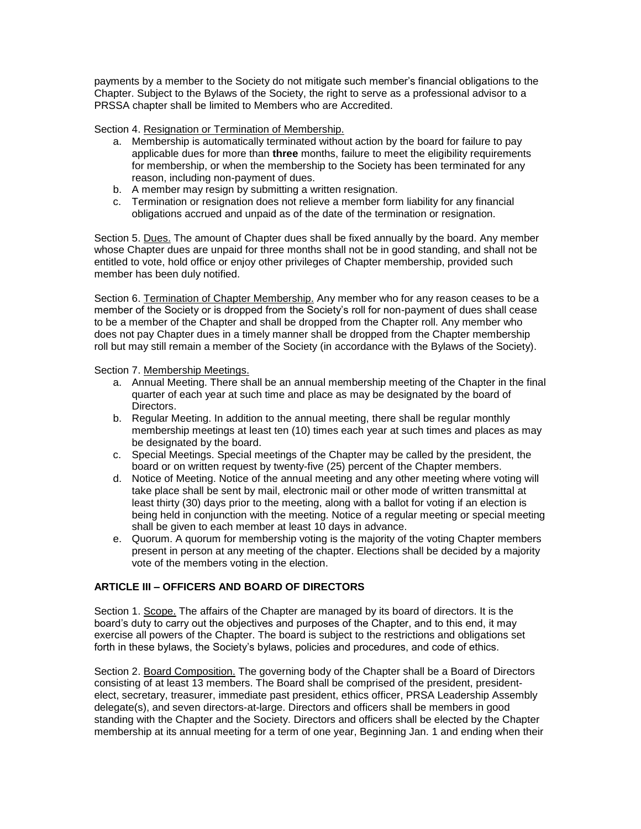payments by a member to the Society do not mitigate such member's financial obligations to the Chapter. Subject to the Bylaws of the Society, the right to serve as a professional advisor to a PRSSA chapter shall be limited to Members who are Accredited.

Section 4. Resignation or Termination of Membership.

- a. Membership is automatically terminated without action by the board for failure to pay applicable dues for more than **three** months, failure to meet the eligibility requirements for membership, or when the membership to the Society has been terminated for any reason, including non-payment of dues.
- b. A member may resign by submitting a written resignation.
- c. Termination or resignation does not relieve a member form liability for any financial obligations accrued and unpaid as of the date of the termination or resignation.

Section 5. Dues. The amount of Chapter dues shall be fixed annually by the board. Any member whose Chapter dues are unpaid for three months shall not be in good standing, and shall not be entitled to vote, hold office or enjoy other privileges of Chapter membership, provided such member has been duly notified.

Section 6. Termination of Chapter Membership. Any member who for any reason ceases to be a member of the Society or is dropped from the Society's roll for non-payment of dues shall cease to be a member of the Chapter and shall be dropped from the Chapter roll. Any member who does not pay Chapter dues in a timely manner shall be dropped from the Chapter membership roll but may still remain a member of the Society (in accordance with the Bylaws of the Society).

Section 7. Membership Meetings.

- a. Annual Meeting. There shall be an annual membership meeting of the Chapter in the final quarter of each year at such time and place as may be designated by the board of Directors.
- b. Regular Meeting. In addition to the annual meeting, there shall be regular monthly membership meetings at least ten (10) times each year at such times and places as may be designated by the board.
- c. Special Meetings. Special meetings of the Chapter may be called by the president, the board or on written request by twenty-five (25) percent of the Chapter members.
- d. Notice of Meeting. Notice of the annual meeting and any other meeting where voting will take place shall be sent by mail, electronic mail or other mode of written transmittal at least thirty (30) days prior to the meeting, along with a ballot for voting if an election is being held in conjunction with the meeting. Notice of a regular meeting or special meeting shall be given to each member at least 10 days in advance.
- e. Quorum. A quorum for membership voting is the majority of the voting Chapter members present in person at any meeting of the chapter. Elections shall be decided by a majority vote of the members voting in the election.

# **ARTICLE III – OFFICERS AND BOARD OF DIRECTORS**

Section 1. Scope. The affairs of the Chapter are managed by its board of directors. It is the board's duty to carry out the objectives and purposes of the Chapter, and to this end, it may exercise all powers of the Chapter. The board is subject to the restrictions and obligations set forth in these bylaws, the Society's bylaws, policies and procedures, and code of ethics.

Section 2. Board Composition. The governing body of the Chapter shall be a Board of Directors consisting of at least 13 members. The Board shall be comprised of the president, presidentelect, secretary, treasurer, immediate past president, ethics officer, PRSA Leadership Assembly delegate(s), and seven directors-at-large. Directors and officers shall be members in good standing with the Chapter and the Society. Directors and officers shall be elected by the Chapter membership at its annual meeting for a term of one year, Beginning Jan. 1 and ending when their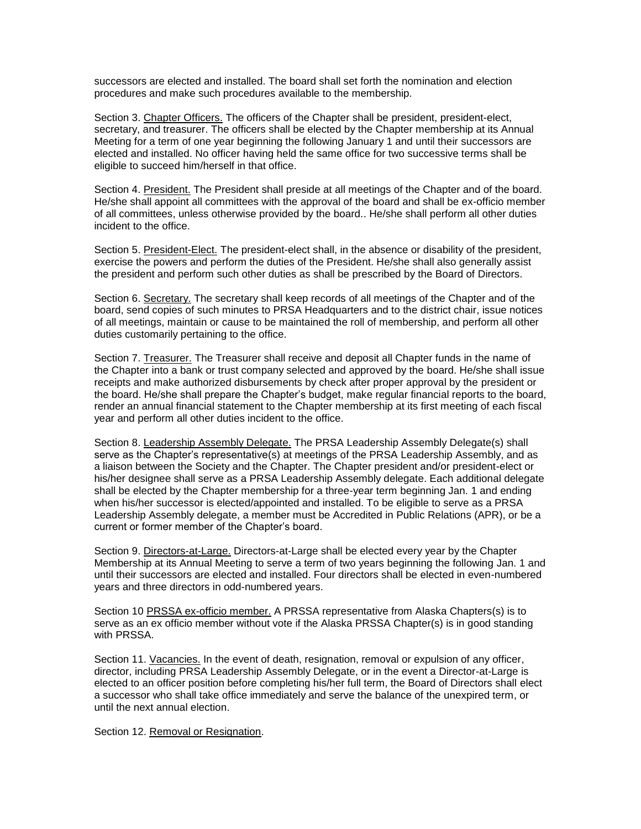successors are elected and installed. The board shall set forth the nomination and election procedures and make such procedures available to the membership.

Section 3. Chapter Officers. The officers of the Chapter shall be president, president-elect, secretary, and treasurer. The officers shall be elected by the Chapter membership at its Annual Meeting for a term of one year beginning the following January 1 and until their successors are elected and installed. No officer having held the same office for two successive terms shall be eligible to succeed him/herself in that office.

Section 4. President. The President shall preside at all meetings of the Chapter and of the board. He/she shall appoint all committees with the approval of the board and shall be ex-officio member of all committees, unless otherwise provided by the board.. He/she shall perform all other duties incident to the office.

Section 5. President-Elect. The president-elect shall, in the absence or disability of the president, exercise the powers and perform the duties of the President. He/she shall also generally assist the president and perform such other duties as shall be prescribed by the Board of Directors.

Section 6. Secretary. The secretary shall keep records of all meetings of the Chapter and of the board, send copies of such minutes to PRSA Headquarters and to the district chair, issue notices of all meetings, maintain or cause to be maintained the roll of membership, and perform all other duties customarily pertaining to the office.

Section 7. Treasurer. The Treasurer shall receive and deposit all Chapter funds in the name of the Chapter into a bank or trust company selected and approved by the board. He/she shall issue receipts and make authorized disbursements by check after proper approval by the president or the board. He/she shall prepare the Chapter's budget, make regular financial reports to the board, render an annual financial statement to the Chapter membership at its first meeting of each fiscal year and perform all other duties incident to the office.

Section 8. Leadership Assembly Delegate. The PRSA Leadership Assembly Delegate(s) shall serve as the Chapter's representative(s) at meetings of the PRSA Leadership Assembly, and as a liaison between the Society and the Chapter. The Chapter president and/or president-elect or his/her designee shall serve as a PRSA Leadership Assembly delegate. Each additional delegate shall be elected by the Chapter membership for a three-year term beginning Jan. 1 and ending when his/her successor is elected/appointed and installed. To be eligible to serve as a PRSA Leadership Assembly delegate, a member must be Accredited in Public Relations (APR), or be a current or former member of the Chapter's board.

Section 9. Directors-at-Large. Directors-at-Large shall be elected every year by the Chapter Membership at its Annual Meeting to serve a term of two years beginning the following Jan. 1 and until their successors are elected and installed. Four directors shall be elected in even-numbered years and three directors in odd-numbered years.

Section 10 PRSSA ex-officio member. A PRSSA representative from Alaska Chapters(s) is to serve as an ex officio member without vote if the Alaska PRSSA Chapter(s) is in good standing with PRSSA.

Section 11. Vacancies. In the event of death, resignation, removal or expulsion of any officer, director, including PRSA Leadership Assembly Delegate, or in the event a Director-at-Large is elected to an officer position before completing his/her full term, the Board of Directors shall elect a successor who shall take office immediately and serve the balance of the unexpired term, or until the next annual election.

Section 12. Removal or Resignation.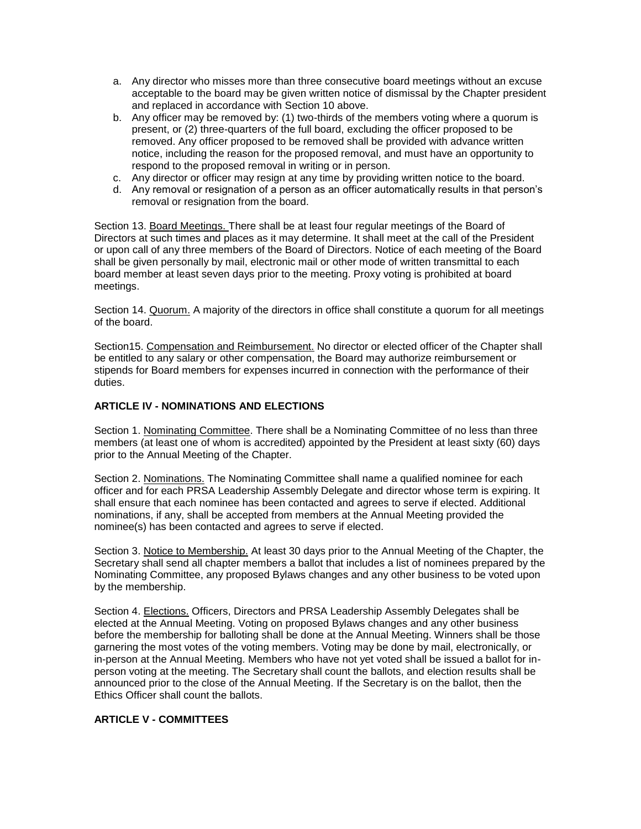- a. Any director who misses more than three consecutive board meetings without an excuse acceptable to the board may be given written notice of dismissal by the Chapter president and replaced in accordance with Section 10 above.
- b. Any officer may be removed by: (1) two-thirds of the members voting where a quorum is present, or (2) three-quarters of the full board, excluding the officer proposed to be removed. Any officer proposed to be removed shall be provided with advance written notice, including the reason for the proposed removal, and must have an opportunity to respond to the proposed removal in writing or in person.
- c. Any director or officer may resign at any time by providing written notice to the board.
- d. Any removal or resignation of a person as an officer automatically results in that person's removal or resignation from the board.

Section 13. Board Meetings. There shall be at least four regular meetings of the Board of Directors at such times and places as it may determine. It shall meet at the call of the President or upon call of any three members of the Board of Directors. Notice of each meeting of the Board shall be given personally by mail, electronic mail or other mode of written transmittal to each board member at least seven days prior to the meeting. Proxy voting is prohibited at board meetings.

Section 14. Quorum. A majority of the directors in office shall constitute a quorum for all meetings of the board.

Section15. Compensation and Reimbursement. No director or elected officer of the Chapter shall be entitled to any salary or other compensation, the Board may authorize reimbursement or stipends for Board members for expenses incurred in connection with the performance of their duties.

## **ARTICLE IV - NOMINATIONS AND ELECTIONS**

Section 1. Nominating Committee. There shall be a Nominating Committee of no less than three members (at least one of whom is accredited) appointed by the President at least sixty (60) days prior to the Annual Meeting of the Chapter.

Section 2. Nominations. The Nominating Committee shall name a qualified nominee for each officer and for each PRSA Leadership Assembly Delegate and director whose term is expiring. It shall ensure that each nominee has been contacted and agrees to serve if elected. Additional nominations, if any, shall be accepted from members at the Annual Meeting provided the nominee(s) has been contacted and agrees to serve if elected.

Section 3. Notice to Membership. At least 30 days prior to the Annual Meeting of the Chapter, the Secretary shall send all chapter members a ballot that includes a list of nominees prepared by the Nominating Committee, any proposed Bylaws changes and any other business to be voted upon by the membership.

Section 4. Elections. Officers, Directors and PRSA Leadership Assembly Delegates shall be elected at the Annual Meeting. Voting on proposed Bylaws changes and any other business before the membership for balloting shall be done at the Annual Meeting. Winners shall be those garnering the most votes of the voting members. Voting may be done by mail, electronically, or in-person at the Annual Meeting. Members who have not yet voted shall be issued a ballot for inperson voting at the meeting. The Secretary shall count the ballots, and election results shall be announced prior to the close of the Annual Meeting. If the Secretary is on the ballot, then the Ethics Officer shall count the ballots.

## **ARTICLE V - COMMITTEES**